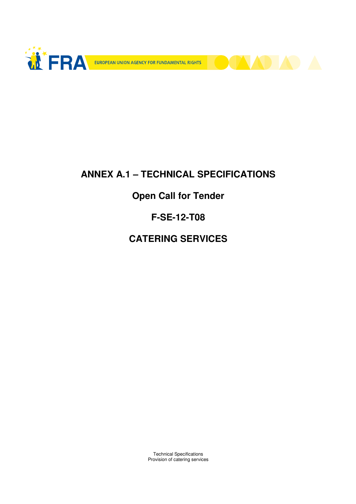



# **ANNEX A.1 – TECHNICAL SPECIFICATIONS**

# **Open Call for Tender**

## **F-SE-12-T08**

# **CATERING SERVICES**

Technical Specifications Provision of catering services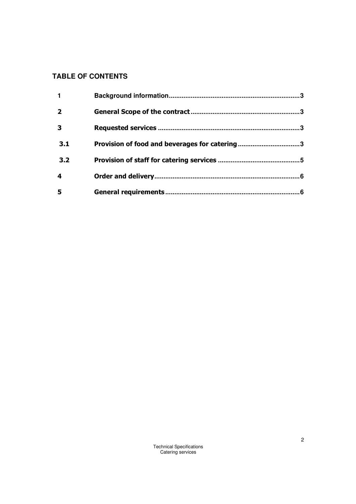### **TABLE OF CONTENTS**

| $\mathbf 1$             |                                               |  |
|-------------------------|-----------------------------------------------|--|
| $\overline{\mathbf{2}}$ |                                               |  |
| $\overline{\mathbf{3}}$ |                                               |  |
| 3.1                     | Provision of food and beverages for catering3 |  |
| 3.2                     |                                               |  |
| 4                       |                                               |  |
| 5                       |                                               |  |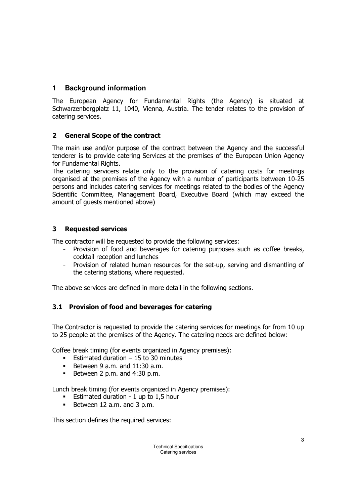### **1 Background information**

The European Agency for Fundamental Rights (the Agency) is situated at Schwarzenbergplatz 11, 1040, Vienna, Austria. The tender relates to the provision of catering services.

### 2 General Scope of the contract

The main use and/or purpose of the contract between the Agency and the successful tenderer is to provide catering Services at the premises of the European Union Agency for Fundamental Rights.

The catering servicers relate only to the provision of catering costs for meetings organised at the premises of the Agency with a number of participants between 10-25 persons and includes catering services for meetings related to the bodies of the Agency Scientific Committee, Management Board, Executive Board (which may exceed the amount of guests mentioned above)

### 3 Requested services

The contractor will be requested to provide the following services:

- Provision of food and beverages for catering purposes such as coffee breaks, cocktail reception and lunches
- Provision of related human resources for the set-up, serving and dismantling of the catering stations, where requested.

The above services are defined in more detail in the following sections.

#### 3.1 Provision of food and beverages for catering

The Contractor is requested to provide the catering services for meetings for from 10 up to 25 people at the premises of the Agency. The catering needs are defined below:

Coffee break timing (for events organized in Agency premises):

- **Estimated duration 15 to 30 minutes**
- Between 9 a.m. and  $11:30$  a.m.
- Between 2 p.m. and  $4:30$  p.m.

Lunch break timing (for events organized in Agency premises):

- **Estimated duration 1 up to 1.5 hour**
- Between 12 a.m. and 3 p.m.

This section defines the required services:

Technical Specifications Catering services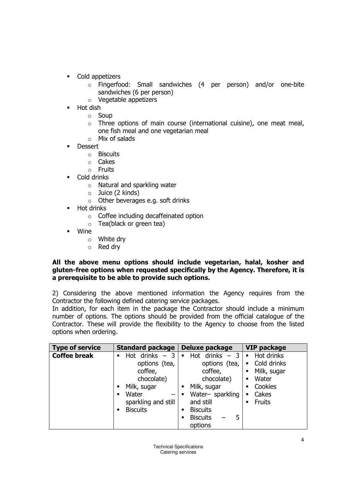- Cold appetizers
	- o Fingerfood: Small sandwiches (4 per person) and/or one-bite sandwiches (6 per person)
	- o Vegetable appetizers
- Hot dish
	- o Soup
	- o Three options of main course (international cuisine), one meat meal, one fish meal and one vegetarian meal
	- o Mix of salads
- Dessert
	- o Biscuits
	- o Cakes
	- o Fruits
- Cold drinks
	- o Natural and sparkling water
	- o Juice (2 kinds)
	- o Other beverages e.g. soft drinks
- Hot drinks
	- o Coffee including decaffeinated option
	- o Tea(black or green tea)
- Wine
	- o White dry
	- o Red dry

#### All the above menu options should include vegetarian, halal, kosher and gluten-free options when requested specifically by the Agency. Therefore, it is a prerequisite to be able to provide such options.

2) Considering the above mentioned information the Agency requires from the Contractor the following defined catering service packages.

In addition, for each item in the package the Contractor should include a minimum number of options. The options should be provided from the official catalogue of the Contractor. These will provide the flexibility to the Agency to choose from the listed options when ordering.

| <b>Type of service</b> | <b>Standard package</b>                                                                                                                    | Deluxe package                                                                                                                                                                                      | <b>VIP package</b>                                                                                              |
|------------------------|--------------------------------------------------------------------------------------------------------------------------------------------|-----------------------------------------------------------------------------------------------------------------------------------------------------------------------------------------------------|-----------------------------------------------------------------------------------------------------------------|
| <b>Coffee break</b>    | Hot drinks $-3$<br>options (tea,<br>coffee,<br>chocolate)<br>Milk, sugar<br>٠<br>Water<br>п<br>sparkling and still<br><b>Biscuits</b><br>٠ | drinks $-3$<br>Hot<br>$\blacksquare$<br>options (tea,<br>coffee,<br>chocolate)<br>Milk, sugar<br>٠<br>Water- sparkling<br>and still<br><b>Biscuits</b><br>п<br><b>Biscuits</b><br>5<br>п<br>options | Hot drinks<br>٠<br>Cold drinks<br>٠<br>Milk, sugar<br>٠<br>Water<br>٠<br>Cookies<br>٠<br>Cakes<br><b>Fruits</b> |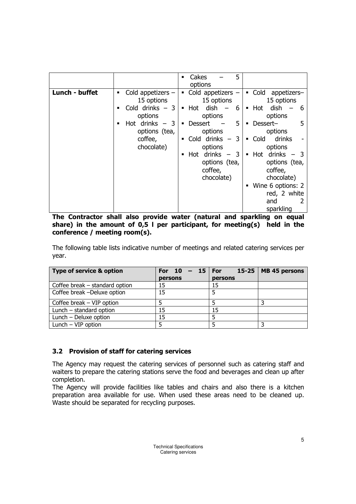|                                                                                                                                                           | Cakes<br>5<br>٠<br>options                                                                                                                                                                                                                                                                                                                                                                                                                                                                                                                                                                        |
|-----------------------------------------------------------------------------------------------------------------------------------------------------------|---------------------------------------------------------------------------------------------------------------------------------------------------------------------------------------------------------------------------------------------------------------------------------------------------------------------------------------------------------------------------------------------------------------------------------------------------------------------------------------------------------------------------------------------------------------------------------------------------|
| Lunch - buffet<br>Cold appetizers $-$<br>٠<br>15 options<br>Cold drinks $-3$<br>options<br>Hot drinks $-3$<br>■<br>options (tea,<br>coffee,<br>chocolate) | • Cold<br>Cold appetizers $-$<br>appetizers-<br>$\blacksquare$<br>15 options<br>15 options<br>Hot dish $-$<br>dish<br>Hot<br>- 6<br>- 6<br>$\blacksquare$<br>٠<br>options<br>options<br>5<br><b>Dessert</b><br>Dessert-<br>5<br>٠<br>$\blacksquare$<br>options<br>options<br>Cold drinks $-3$<br>drinks<br>Cold<br>$\blacksquare$<br>٠<br>options<br>options<br>Hot drinks $-3$<br>drinks $-$<br>- 3<br>Hot<br>$\blacksquare$<br>$\blacksquare$<br>options (tea,<br>options (tea,<br>coffee,<br>coffee,<br>chocolate)<br>chocolate)<br>Wine 6 options: 2<br>٠<br>red, 2 white<br>and<br>sparkling |

The Contractor shall also provide water (natural and sparkling on equal share) in the amount of  $0.5$  I per participant, for meeting(s) held in the conference / meeting room(s).

The following table lists indicative number of meetings and related catering services per year.

| <b>Type of service &amp; option</b> | For 10<br>$-15$ For |         | 15-25   MB 45 persons |
|-------------------------------------|---------------------|---------|-----------------------|
|                                     | persons             | persons |                       |
| Coffee break - standard option      | 15                  | 15      |                       |
| Coffee break -Deluxe option         | 15                  |         |                       |
| Coffee break $-$ VIP option         |                     |         |                       |
| Lunch - standard option             | 15                  | 15      |                       |
| Lunch - Deluxe option               | 15                  |         |                       |
| Lunch $-$ VIP option                |                     |         |                       |

#### 3.2 Provision of staff for catering services

The Agency may request the catering services of personnel such as catering staff and waiters to prepare the catering stations serve the food and beverages and clean up after completion.

The Agency will provide facilities like tables and chairs and also there is a kitchen preparation area available for use. When used these areas need to be cleaned up. Waste should be separated for recycling purposes.